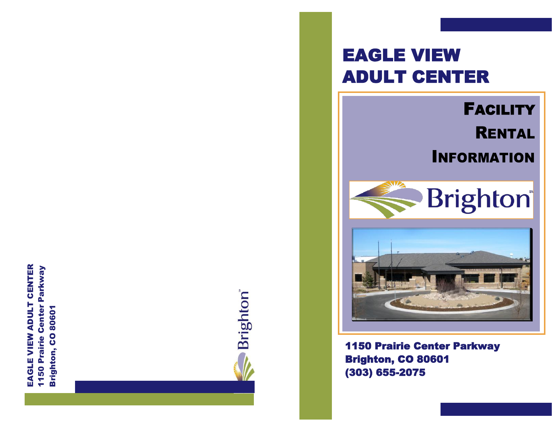

# EAGLE VIEW ADULT CENTER







1150 Prairie Center Parkway Brighton, CO 80601 (303) 655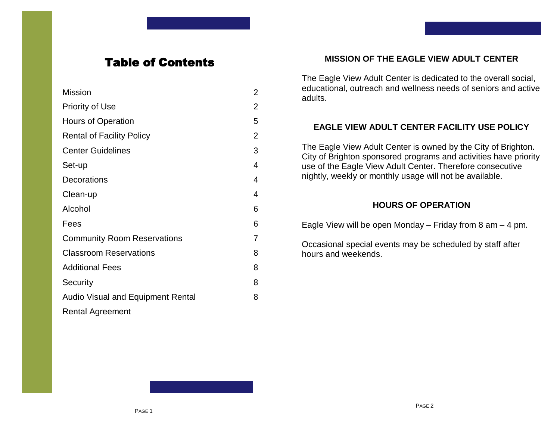# Table of Contents

| <b>Mission</b>                     | 2 |
|------------------------------------|---|
| <b>Priority of Use</b>             | 2 |
| <b>Hours of Operation</b>          | 5 |
| <b>Rental of Facility Policy</b>   | 2 |
| <b>Center Guidelines</b>           | 3 |
| Set-up                             | 4 |
| Decorations                        | 4 |
| Clean-up                           | 4 |
| Alcohol                            | 6 |
| Fees                               | 6 |
| <b>Community Room Reservations</b> | 7 |
| <b>Classroom Reservations</b>      | 8 |
| <b>Additional Fees</b>             | 8 |
| Security                           | 8 |
| Audio Visual and Equipment Rental  | 8 |
| Rental Agreement                   |   |

# **MISSION OF THE EAGLE VIEW ADULT CENTER**

The Eagle View Adult Center is dedicated to the overall social, educational, outreach and wellness needs of seniors and active adults.

# **EAGLE VIEW ADULT CENTER FACILITY USE POLICY**

The Eagle View Adult Center is owned by the City of Brighton. City of Brighton sponsored programs and activities have priority use of the Eagle View Adult Center. Therefore consecutive nightly, weekly or monthly usage will not be available.

# **HOURS OF OPERATION**

Eagle View will be open Monday – Friday from 8 am – 4 pm.

Occasional special events may be scheduled by staff after hours and weekends.

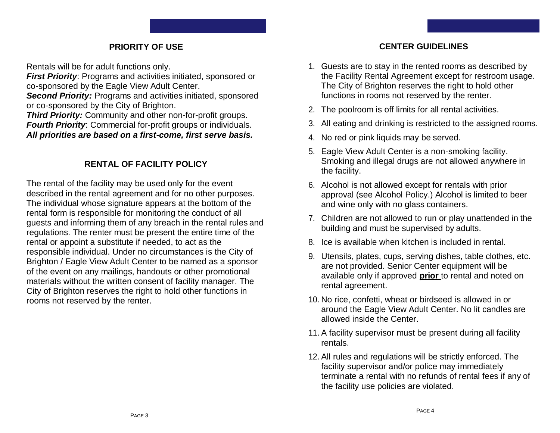#### **PRIORITY OF USE**

Rentals will be for adult functions only.

**First Priority:** Programs and activities initiated, sponsored or co-sponsored by the Eagle View Adult Center.

**Second Priority:** Programs and activities initiated, sponsored or co-sponsored by the City of Brighton.

*Third Priority: Community and other non-for-profit groups. Fourth Priority*: Commercial for-profit groups or individuals. *All priorities are based on a first-come, first serve basis.*

# **RENTAL OF FACILITY POLICY**

The rental of the facility may be used only for the event described in the rental agreement and for no other purposes. The individual whose signature appears at the bottom of the rental form is responsible for monitoring the conduct of all guests and informing them of any breach in the rental rules and regulations. The renter must be present the entire time of the rental or appoint a substitute if needed, to act as the responsible individual. Under no circumstances is the City of Brighton / Eagle View Adult Center to be named as a sponsor of the event on any mailings, handouts or other promotional materials without the written consent of facility manager. The City of Brighton reserves the right to hold other functions in rooms not reserved by the renter.

#### **CENTER GUIDELINES**

- 1. Guests are to stay in the rented rooms as described by the Facility Rental Agreement except for restroom usage. The City of Brighton reserves the right to hold other functions in rooms not reserved by the renter.
- 2. The poolroom is off limits for all rental activities.
- 3. All eating and drinking is restricted to the assigned rooms.
- 4. No red or pink liquids may be served.
- 5. Eagle View Adult Center is a non-smoking facility. Smoking and illegal drugs are not allowed anywhere in the facility.
- 6. Alcohol is not allowed except for rentals with prior approval (see Alcohol Policy.) Alcohol is limited to beer and wine only with no glass containers.
- 7. Children are not allowed to run or play unattended in the building and must be supervised by adults.
- 8. Ice is available when kitchen is included in rental.
- 9. Utensils, plates, cups, serving dishes, table clothes, etc. are not provided. Senior Center equipment will be available only if approved **prior** to rental and noted on rental agreement.
- 10. No rice, confetti, wheat or birdseed is allowed in or around the Eagle View Adult Center. No lit candles are allowed inside the Center.
- 11. A facility supervisor must be present during all facility rentals.
- 12. All rules and regulations will be strictly enforced. The facility supervisor and/or police may immediately terminate a rental with no refunds of rental fees if any of the facility use policies are violated.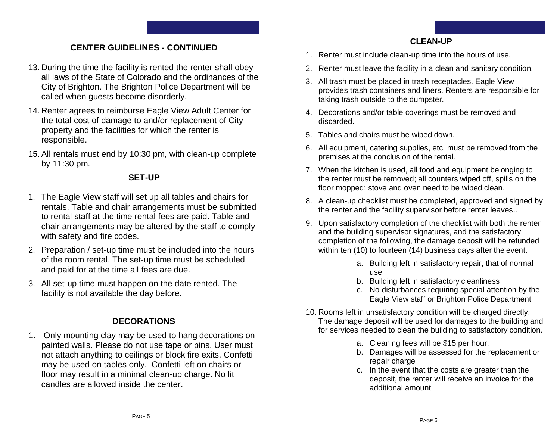# **CENTER GUIDELINES - CONTINUED**

- 13. During the time the facility is rented the renter shall obey all laws of the State of Colorado and the ordinances of the City of Brighton. The Brighton Police Department will be called when guests become disorderly.
- 14. Renter agrees to reimburse Eagle View Adult Center for the total cost of damage to and/or replacement of City property and the facilities for which the renter is responsible.
- 15. All rentals must end by 10:30 pm, with clean-up complete by 11:30 pm.

#### **SET-UP**

- 1. The Eagle View staff will set up all tables and chairs for rentals. Table and chair arrangements must be submitted to rental staff at the time rental fees are paid. Table and chair arrangements may be altered by the staff to comply with safety and fire codes.
- 2. Preparation / set-up time must be included into the hours of the room rental. The set-up time must be scheduled and paid for at the time all fees are due.
- 3. All set-up time must happen on the date rented. The facility is not available the day before.

### **DECORATIONS**

1. Only mounting clay may be used to hang decorations on painted walls. Please do not use tape or pins. User must not attach anything to ceilings or block fire exits. Confetti may be used on tables only. Confetti left on chairs or floor may result in a minimal clean-up charge. No lit candles are allowed inside the center.

#### **CLEAN-UP**

- 1. Renter must include clean-up time into the hours of use.
- 2. Renter must leave the facility in a clean and sanitary condition.
- 3. All trash must be placed in trash receptacles. Eagle View provides trash containers and liners. Renters are responsible for taking trash outside to the dumpster.
- 4. Decorations and/or table coverings must be removed and discarded.
- 5. Tables and chairs must be wiped down.
- 6. All equipment, catering supplies, etc. must be removed from the premises at the conclusion of the rental.
- 7. When the kitchen is used, all food and equipment belonging to the renter must be removed; all counters wiped off, spills on the floor mopped; stove and oven need to be wiped clean.
- 8. A clean-up checklist must be completed, approved and signed by the renter and the facility supervisor before renter leaves..
- 9. Upon satisfactory completion of the checklist with both the renter and the building supervisor signatures, and the satisfactory completion of the following, the damage deposit will be refunded within ten (10) to fourteen (14) business days after the event.
	- a. Building left in satisfactory repair, that of normal use
	- b. Building left in satisfactory cleanliness
	- c. No disturbances requiring special attention by the Eagle View staff or Brighton Police Department
- 10. Rooms left in unsatisfactory condition will be charged directly. The damage deposit will be used for damages to the building and for services needed to clean the building to satisfactory condition.
	- a. Cleaning fees will be \$15 per hour.
	- b. Damages will be assessed for the replacement or repair charge
	- c. In the event that the costs are greater than the deposit, the renter will receive an invoice for the additional amount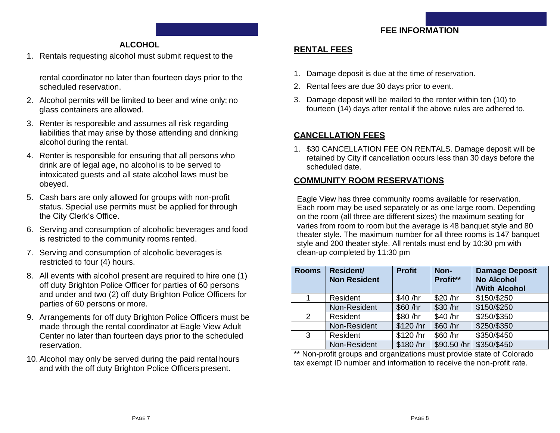# **ALCOHOL**

1. Rentals requesting alcohol must submit request to the

rental coordinator no later than fourteen days prior to the scheduled reservation.

- 2. Alcohol permits will be limited to beer and wine only; no glass containers are allowed.
- 3. Renter is responsible and assumes all risk regarding liabilities that may arise by those attending and drinking alcohol during the rental.
- 4. Renter is responsible for ensuring that all persons who drink are of legal age, no alcohol is to be served to intoxicated guests and all state alcohol laws must be obeyed.
- 5. Cash bars are only allowed for groups with non-profit status. Special use permits must be applied for through the City Clerk's Office.
- 6. Serving and consumption of alcoholic beverages and food is restricted to the community rooms rented.
- 7. Serving and consumption of alcoholic beverages is restricted to four (4) hours.
- 8. All events with alcohol present are required to hire one (1) off duty Brighton Police Officer for parties of 60 persons and under and two (2) off duty Brighton Police Officers for parties of 60 persons or more.
- 9. Arrangements for off duty Brighton Police Officers must be made through the rental coordinator at Eagle View Adult Center no later than fourteen days prior to the scheduled reservation.
- 10.Alcohol may only be served during the paid rental hours and with the off duty Brighton Police Officers present.

# **RENTAL FEES**

- 1. Damage deposit is due at the time of reservation.
- 2. Rental fees are due 30 days prior to event.
- 3. Damage deposit will be mailed to the renter within ten (10) to fourteen (14) days after rental if the above rules are adhered to.

# **CANCELLATION FEES**

1. \$30 CANCELLATION FEE ON RENTALS. Damage deposit will be retained by City if cancellation occurs less than 30 days before the scheduled date.

# **COMMUNITY ROOM RESERVATIONS**

Eagle View has three community rooms available for reservation. Each room may be used separately or as one large room. Depending on the room (all three are different sizes) the maximum seating for varies from room to room but the average is 48 banquet style and 80 theater style. The maximum number for all three rooms is 147 banquet style and 200 theater style. All rentals must end by 10:30 pm with clean-up completed by 11:30 pm

| <b>Rooms</b>  | Resident/<br><b>Non Resident</b> | <b>Profit</b> | Non-<br>Profit** | <b>Damage Deposit</b><br><b>No Alcohol</b><br><b>/With Alcohol</b> |
|---------------|----------------------------------|---------------|------------------|--------------------------------------------------------------------|
|               | Resident                         | \$40 /hr      | \$20 /hr         | \$150/\$250                                                        |
|               | Non-Resident                     | \$60 /hr      | \$30 /hr         | \$150/\$250                                                        |
| $\mathcal{P}$ | Resident                         | \$80 /hr      | \$40 /hr         | \$250/\$350                                                        |
|               | Non-Resident                     | \$120/hr      | \$60 /hr         | \$250/\$350                                                        |
| 3             | Resident                         | \$120/hr      | \$60 /hr         | \$350/\$450                                                        |
|               | Non-Resident                     | \$180/hr      | \$90.50 /hr      | \$350/\$450                                                        |

\*\* Non-profit groups and organizations must provide state of Colorado tax exempt ID number and information to receive the non-profit rate.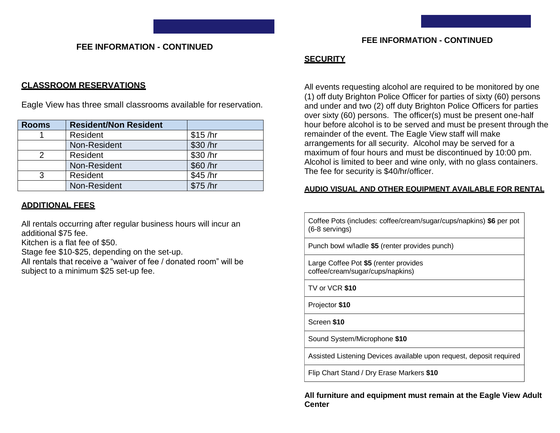#### **FEE INFORMATION - CONTINUED**

#### **FEE INFORMATION - CONTINUED**

#### **CLASSROOM RESERVATIONS**

Eagle View has three small classrooms available for reservation.

| <b>Rooms</b> | <b>Resident/Non Resident</b> |          |
|--------------|------------------------------|----------|
|              | Resident                     | \$15/hr  |
|              | Non-Resident                 | \$30 /hr |
|              | Resident                     | \$30 /hr |
|              | Non-Resident                 | \$60 /hr |
| 3            | Resident                     | \$45 /hr |
|              | Non-Resident                 | \$75/hr  |

#### **ADDITIONAL FEES**

All rentals occurring after regular business hours will incur an additional \$75 fee.

Kitchen is a flat fee of \$50.

Stage fee \$10-\$25, depending on the set-up.

All rentals that receive a "waiver of fee / donated room" will be subject to a minimum \$25 set-up fee.

#### **SECURITY**

All events requesting alcohol are required to be monitored by one (1) off duty Brighton Police Officer for parties of sixty (60) persons and under and two (2) off duty Brighton Police Officers for parties over sixty (60) persons. The officer(s) must be present one-half hour before alcohol is to be served and must be present through the remainder of the event. The Eagle View staff will make arrangements for all security. Alcohol may be served for a maximum of four hours and must be discontinued by 10:00 pm. Alcohol is limited to beer and wine only, with no glass containers. The fee for security is \$40/hr/officer.

#### **AUDIO VISUAL AND OTHER EQUIPMENT AVAILABLE FOR RENTAL**

Coffee Pots (includes: coffee/cream/sugar/cups/napkins) **\$6** per pot (6-8 servings)

Punch bowl w/ladle **\$5** (renter provides punch)

Large Coffee Pot **\$5** (renter provides coffee/cream/sugar/cups/napkins)

TV or VCR **\$10**

Projector **\$10**

Screen **\$10**

Sound System/Microphone **\$10**

Assisted Listening Devices available upon request, deposit required

Flip Chart Stand / Dry Erase Markers **\$10**

**All furniture and equipment must remain at the Eagle View Adult Center**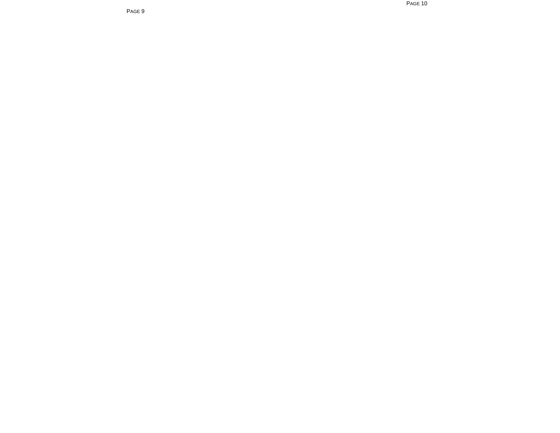PAGE 9

PAGE 10